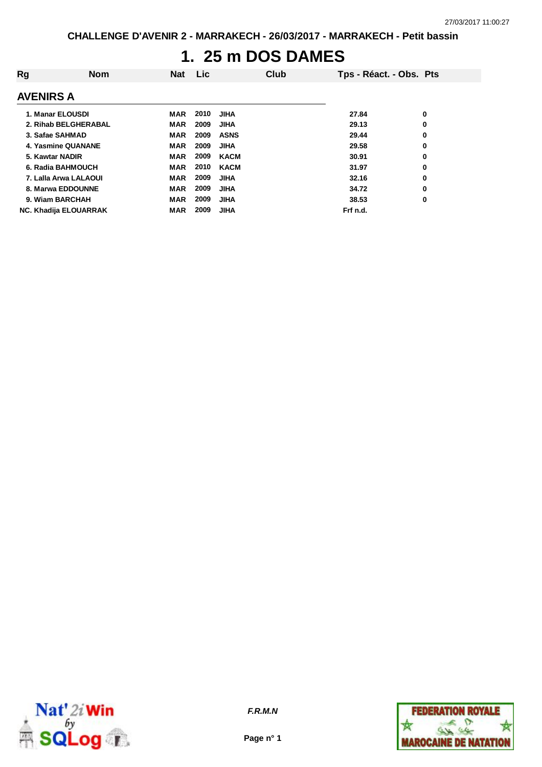# **1. 25 m DOS DAMES**

| Rg                    | <b>Nom</b> | <b>Nat</b> | Lic. |             | Club | Tps - Réact. - Obs. Pts |   |
|-----------------------|------------|------------|------|-------------|------|-------------------------|---|
| <b>AVENIRS A</b>      |            |            |      |             |      |                         |   |
| 1. Manar ELOUSDI      |            | MAR        | 2010 | <b>JIHA</b> |      | 27.84                   | 0 |
| 2. Rihab BELGHERABAL  |            | <b>MAR</b> | 2009 | <b>JIHA</b> |      | 29.13                   | 0 |
| 3. Safae SAHMAD       |            | <b>MAR</b> | 2009 | <b>ASNS</b> |      | 29.44                   | 0 |
| 4. Yasmine QUANANE    |            | <b>MAR</b> | 2009 | <b>JIHA</b> |      | 29.58                   | 0 |
| 5. Kawtar NADIR       |            | <b>MAR</b> | 2009 | <b>KACM</b> |      | 30.91                   | 0 |
| 6. Radia BAHMOUCH     |            | <b>MAR</b> | 2010 | <b>KACM</b> |      | 31.97                   | 0 |
| 7. Lalla Arwa LALAOUI |            | <b>MAR</b> | 2009 | <b>JIHA</b> |      | 32.16                   | 0 |
| 8. Marwa EDDOUNNE     |            | <b>MAR</b> | 2009 | <b>JIHA</b> |      | 34.72                   | 0 |
| 9. Wiam BARCHAH       |            | <b>MAR</b> | 2009 | <b>JIHA</b> |      | 38.53                   | 0 |
| NC. Khadija ELOUARRAK |            | <b>MAR</b> | 2009 | <b>JIHA</b> |      | Frf n.d.                |   |



**Page n° 1**

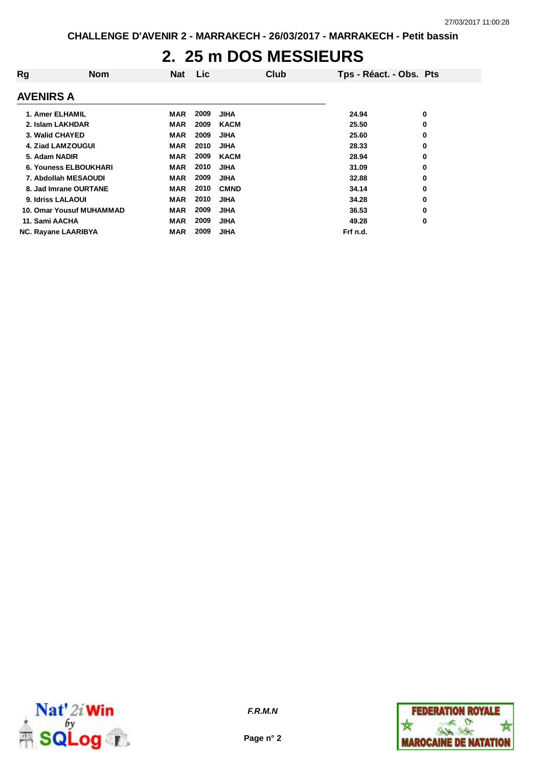#### **2. 25 m DOS MESSIEURS**

| Rg                           | <b>Nom</b> | <b>Nat</b> | Lic. |             | Club | Tps - Réact. - Obs. Pts |   |
|------------------------------|------------|------------|------|-------------|------|-------------------------|---|
| <b>AVENIRS A</b>             |            |            |      |             |      |                         |   |
| 1. Amer ELHAMIL              |            | MAR        | 2009 | <b>JIHA</b> |      | 24.94                   | 0 |
| 2. Islam LAKHDAR             |            | <b>MAR</b> | 2009 | <b>KACM</b> |      | 25.50                   | 0 |
| 3. Walid CHAYED              |            | <b>MAR</b> | 2009 | <b>JIHA</b> |      | 25.60                   | 0 |
| 4. Ziad LAMZOUGUI            |            | <b>MAR</b> | 2010 | <b>JIHA</b> |      | 28.33                   | 0 |
| 5. Adam NADIR                |            | <b>MAR</b> | 2009 | <b>KACM</b> |      | 28.94                   | 0 |
| <b>6. Youness ELBOUKHARI</b> |            | <b>MAR</b> | 2010 | <b>JIHA</b> |      | 31.09                   | 0 |
| 7. Abdollah MESAOUDI         |            | <b>MAR</b> | 2009 | <b>JIHA</b> |      | 32.88                   | 0 |
| 8. Jad Imrane OURTANE        |            | <b>MAR</b> | 2010 | <b>CMND</b> |      | 34.14                   | 0 |
| 9. Idriss LALAOUI            |            | <b>MAR</b> | 2010 | <b>JIHA</b> |      | 34.28                   | 0 |
| 10. Omar Yousuf MUHAMMAD     |            | <b>MAR</b> | 2009 | <b>JIHA</b> |      | 36.53                   | 0 |
| 11. Sami AACHA               |            | <b>MAR</b> | 2009 | <b>JIHA</b> |      | 49.28                   | 0 |
| <b>NC. Rayane LAARIBYA</b>   |            | <b>MAR</b> | 2009 | <b>JIHA</b> |      | Frf n.d.                |   |



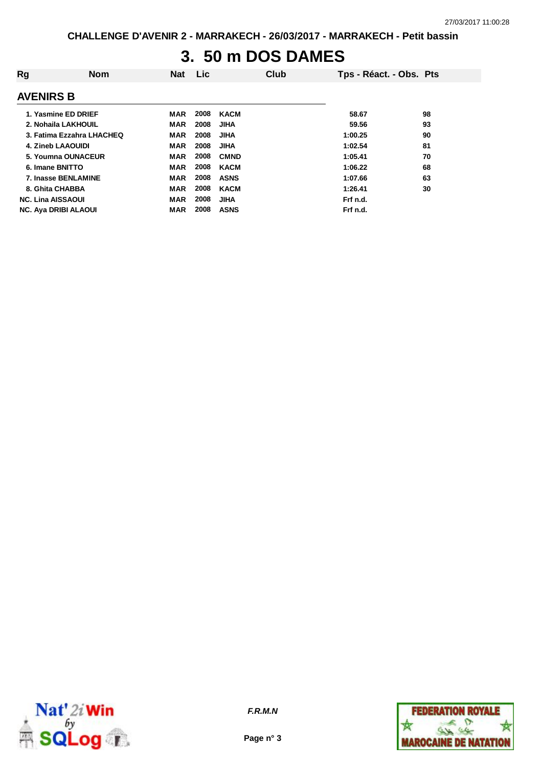# **3. 50 m DOS DAMES**

| Rg                          | <b>Nom</b> | Nat        | <b>Lic</b> |             | Club | Tps - Réact. - Obs. Pts |    |
|-----------------------------|------------|------------|------------|-------------|------|-------------------------|----|
| <b>AVENIRS B</b>            |            |            |            |             |      |                         |    |
| 1. Yasmine ED DRIEF         |            | MAR        | 2008       | KACM        |      | 58.67                   | 98 |
| 2. Nohaila LAKHOUIL         |            | <b>MAR</b> | 2008       | <b>JIHA</b> |      | 59.56                   | 93 |
| 3. Fatima Ezzahra LHACHEQ   |            | <b>MAR</b> | 2008       | JIHA        |      | 1:00.25                 | 90 |
| <b>4. Zineb LAAOUIDI</b>    |            | <b>MAR</b> | 2008       | JIHA        |      | 1:02.54                 | 81 |
| 5. Youmna OUNACEUR          |            | <b>MAR</b> | 2008       | <b>CMND</b> |      | 1:05.41                 | 70 |
| 6. Imane BNITTO             |            | <b>MAR</b> | 2008       | <b>KACM</b> |      | 1:06.22                 | 68 |
| 7. Inasse BENLAMINE         |            | <b>MAR</b> | 2008       | <b>ASNS</b> |      | 1:07.66                 | 63 |
| 8. Ghita CHABBA             |            | <b>MAR</b> | 2008       | <b>KACM</b> |      | 1:26.41                 | 30 |
| <b>NC. Lina AISSAOUI</b>    |            | <b>MAR</b> | 2008       | JIHA        |      | Frf n.d.                |    |
| <b>NC. Aya DRIBI ALAOUI</b> |            | <b>MAR</b> | 2008       | <b>ASNS</b> |      | Frf n.d.                |    |



**Page n° 3**

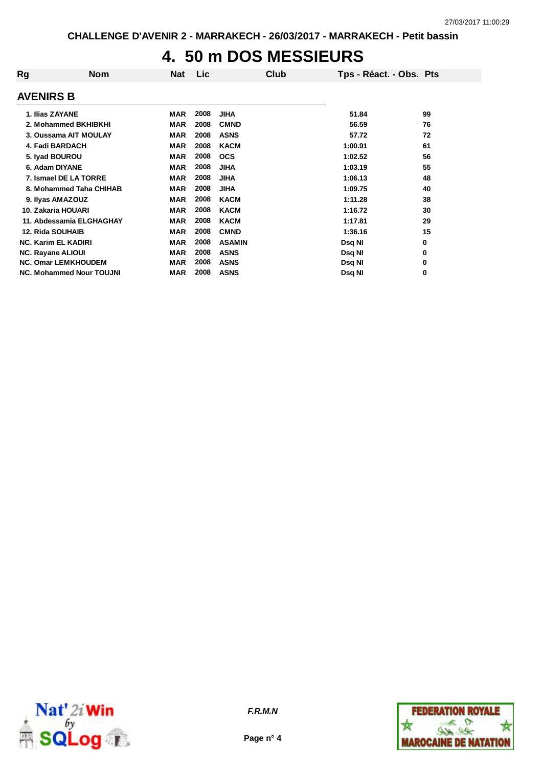### **4. 50 m DOS MESSIEURS**

| Rg | <b>Nom</b>                      | <b>Nat</b> | Lic  | Club          | Tps - Réact. - Obs. Pts |    |
|----|---------------------------------|------------|------|---------------|-------------------------|----|
|    | <b>AVENIRS B</b>                |            |      |               |                         |    |
|    | 1. Ilias ZAYANE                 | <b>MAR</b> | 2008 | <b>JIHA</b>   | 51.84                   | 99 |
|    | 2. Mohammed BKHIBKHI            | <b>MAR</b> | 2008 | <b>CMND</b>   | 56.59                   | 76 |
|    | 3. Oussama AIT MOULAY           | <b>MAR</b> | 2008 | <b>ASNS</b>   | 57.72                   | 72 |
|    | 4. Fadi BARDACH                 | <b>MAR</b> | 2008 | <b>KACM</b>   | 1:00.91                 | 61 |
|    | 5. Iyad BOUROU                  | <b>MAR</b> | 2008 | <b>OCS</b>    | 1:02.52                 | 56 |
|    | 6. Adam DIYANE                  | <b>MAR</b> | 2008 | <b>JIHA</b>   | 1:03.19                 | 55 |
|    | 7. Ismael DE LA TORRE           | <b>MAR</b> | 2008 | <b>JIHA</b>   | 1:06.13                 | 48 |
|    | 8. Mohammed Taha CHIHAB         | <b>MAR</b> | 2008 | <b>JIHA</b>   | 1:09.75                 | 40 |
|    | 9. Ilyas AMAZOUZ                | <b>MAR</b> | 2008 | <b>KACM</b>   | 1:11.28                 | 38 |
|    | 10. Zakaria HOUARI              | <b>MAR</b> | 2008 | <b>KACM</b>   | 1:16.72                 | 30 |
|    | 11. Abdessamia ELGHAGHAY        | <b>MAR</b> | 2008 | <b>KACM</b>   | 1:17.81                 | 29 |
|    | <b>12. Rida SOUHAIB</b>         | <b>MAR</b> | 2008 | <b>CMND</b>   | 1:36.16                 | 15 |
|    | <b>NC. Karim EL KADIRI</b>      | <b>MAR</b> | 2008 | <b>ASAMIN</b> | Dsq NI                  | 0  |
|    | <b>NC. Rayane ALIOUI</b>        | <b>MAR</b> | 2008 | <b>ASNS</b>   | Dsq NI                  | 0  |
|    | <b>NC. Omar LEMKHOUDEM</b>      | <b>MAR</b> | 2008 | <b>ASNS</b>   | Dsq NI                  | 0  |
|    | <b>NC. Mohammed Nour TOUJNI</b> | MAR        | 2008 | <b>ASNS</b>   | Dsq NI                  | 0  |



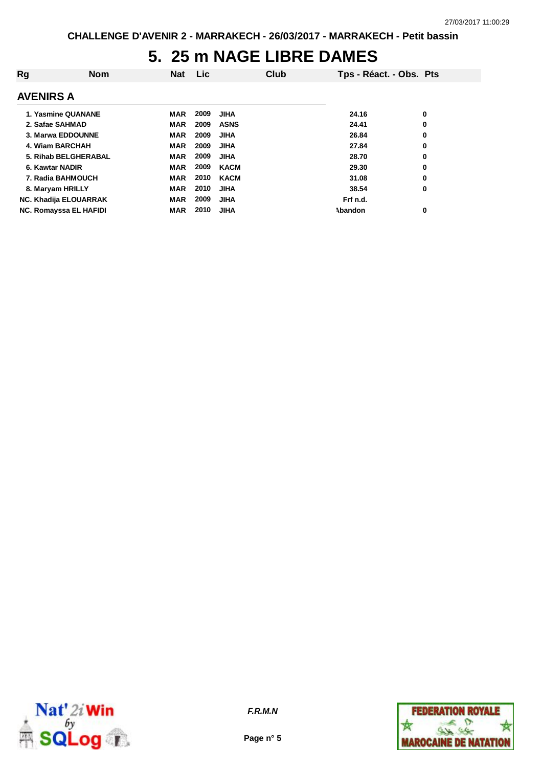## **5. 25 m NAGE LIBRE DAMES**

| Rg               | <b>Nom</b>                   | <b>Nat</b> | Lic. |             | Club | Tps - Réact. - Obs. Pts |   |
|------------------|------------------------------|------------|------|-------------|------|-------------------------|---|
| <b>AVENIRS A</b> |                              |            |      |             |      |                         |   |
|                  | 1. Yasmine QUANANE           | MAR        | 2009 | <b>JIHA</b> |      | 24.16                   | 0 |
| 2. Safae SAHMAD  |                              | <b>MAR</b> | 2009 | <b>ASNS</b> |      | 24.41                   | 0 |
|                  | 3. Marwa EDDOUNNE            | <b>MAR</b> | 2009 | <b>JIHA</b> |      | 26.84                   | 0 |
| 4. Wiam BARCHAH  |                              | <b>MAR</b> | 2009 | <b>JIHA</b> |      | 27.84                   | 0 |
|                  | 5. Rihab BELGHERABAL         | <b>MAR</b> | 2009 | <b>JIHA</b> |      | 28.70                   | 0 |
| 6. Kawtar NADIR  |                              | <b>MAR</b> | 2009 | <b>KACM</b> |      | 29.30                   | 0 |
|                  | 7. Radia BAHMOUCH            | <b>MAR</b> | 2010 | <b>KACM</b> |      | 31.08                   | 0 |
| 8. Maryam HRILLY |                              | <b>MAR</b> | 2010 | <b>JIHA</b> |      | 38.54                   | 0 |
|                  | <b>NC. Khadija ELOUARRAK</b> | <b>MAR</b> | 2009 | <b>JIHA</b> |      | Frf n.d.                |   |
|                  | NC. Romayssa EL HAFIDI       | <b>MAR</b> | 2010 | <b>JIHA</b> |      | Abandon                 | 0 |



**Page n° 5**

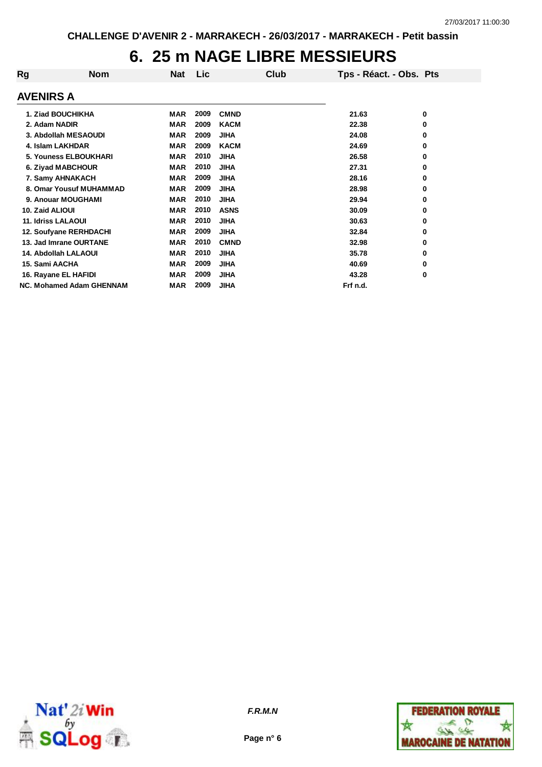#### **6. 25 m NAGE LIBRE MESSIEURS**

| Rg                        | <b>Nom</b>                      | <b>Nat</b> | Lic  | Club        | Tps - Réact. - Obs. Pts |   |
|---------------------------|---------------------------------|------------|------|-------------|-------------------------|---|
| <b>AVENIRS A</b>          |                                 |            |      |             |                         |   |
|                           | 1. Ziad BOUCHIKHA               | MAR        | 2009 | <b>CMND</b> | 21.63                   | 0 |
| 2. Adam NADIR             |                                 | <b>MAR</b> | 2009 | <b>KACM</b> | 22.38                   | 0 |
|                           | 3. Abdollah MESAOUDI            | <b>MAR</b> | 2009 | <b>JIHA</b> | 24.08                   | 0 |
|                           | 4. Islam LAKHDAR                | <b>MAR</b> | 2009 | <b>KACM</b> | 24.69                   | 0 |
|                           | <b>5. Youness ELBOUKHARI</b>    | <b>MAR</b> | 2010 | <b>JIHA</b> | 26.58                   | 0 |
|                           | 6. Ziyad MABCHOUR               | <b>MAR</b> | 2010 | <b>JIHA</b> | 27.31                   | 0 |
|                           | 7. Samy AHNAKACH                | <b>MAR</b> | 2009 | <b>JIHA</b> | 28.16                   | 0 |
|                           | 8. Omar Yousuf MUHAMMAD         | <b>MAR</b> | 2009 | <b>JIHA</b> | 28.98                   | 0 |
|                           | 9. Anouar MOUGHAMI              | <b>MAR</b> | 2010 | <b>JIHA</b> | 29.94                   | 0 |
| 10. Zaid ALIOUI           |                                 | <b>MAR</b> | 2010 | <b>ASNS</b> | 30.09                   | 0 |
| <b>11. Idriss LALAOUI</b> |                                 | <b>MAR</b> | 2010 | <b>JIHA</b> | 30.63                   | 0 |
|                           | 12. Soufyane RERHDACHI          | <b>MAR</b> | 2009 | <b>JIHA</b> | 32.84                   | 0 |
|                           | 13. Jad Imrane OURTANE          | <b>MAR</b> | 2010 | <b>CMND</b> | 32.98                   | 0 |
|                           | 14. Abdollah LALAOUI            | <b>MAR</b> | 2010 | <b>JIHA</b> | 35.78                   | 0 |
| 15. Sami AACHA            |                                 | <b>MAR</b> | 2009 | <b>JIHA</b> | 40.69                   | 0 |
|                           | 16. Rayane EL HAFIDI            | <b>MAR</b> | 2009 | <b>JIHA</b> | 43.28                   | 0 |
|                           | <b>NC. Mohamed Adam GHENNAM</b> | <b>MAR</b> | 2009 | <b>JIHA</b> | Frf n.d.                |   |



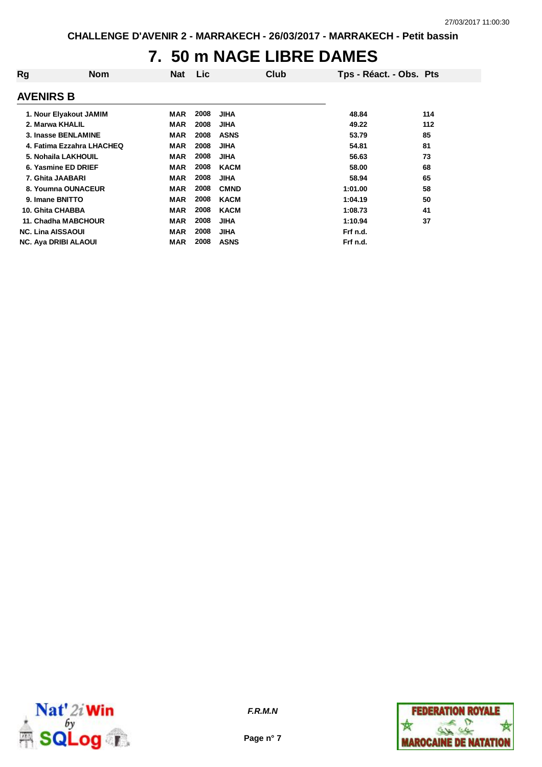## **7. 50 m NAGE LIBRE DAMES**

| Rg                          | <b>Nom</b> | Nat        | <b>Lic</b> |             | Club | Tps - Réact. - Obs. Pts |     |
|-----------------------------|------------|------------|------------|-------------|------|-------------------------|-----|
| <b>AVENIRS B</b>            |            |            |            |             |      |                         |     |
| 1. Nour Elyakout JAMIM      |            | MAR        | 2008       | <b>JIHA</b> |      | 48.84                   | 114 |
| 2. Marwa KHALIL             |            | <b>MAR</b> | 2008       | <b>JIHA</b> |      | 49.22                   | 112 |
| 3. Inasse BENLAMINE         |            | <b>MAR</b> | 2008       | <b>ASNS</b> |      | 53.79                   | 85  |
| 4. Fatima Ezzahra LHACHEQ   |            | MAR        | 2008       | <b>JIHA</b> |      | 54.81                   | 81  |
| 5. Nohaila LAKHOUIL         |            | <b>MAR</b> | 2008       | <b>JIHA</b> |      | 56.63                   | 73  |
| 6. Yasmine ED DRIEF         |            | <b>MAR</b> | 2008       | <b>KACM</b> |      | 58.00                   | 68  |
| 7. Ghita JAABARI            |            | <b>MAR</b> | 2008       | <b>JIHA</b> |      | 58.94                   | 65  |
| 8. Youmna OUNACEUR          |            | <b>MAR</b> | 2008       | <b>CMND</b> |      | 1:01.00                 | 58  |
| 9. Imane BNITTO             |            | <b>MAR</b> | 2008       | <b>KACM</b> |      | 1:04.19                 | 50  |
| 10. Ghita CHABBA            |            | <b>MAR</b> | 2008       | <b>KACM</b> |      | 1:08.73                 | 41  |
| 11. Chadha MABCHOUR         |            | <b>MAR</b> | 2008       | <b>JIHA</b> |      | 1:10.94                 | 37  |
| <b>NC. Lina AISSAOUI</b>    |            | <b>MAR</b> | 2008       | <b>JIHA</b> |      | Frf n.d.                |     |
| <b>NC. Aya DRIBI ALAOUI</b> |            | MAR        | 2008       | <b>ASNS</b> |      | Frf n.d.                |     |



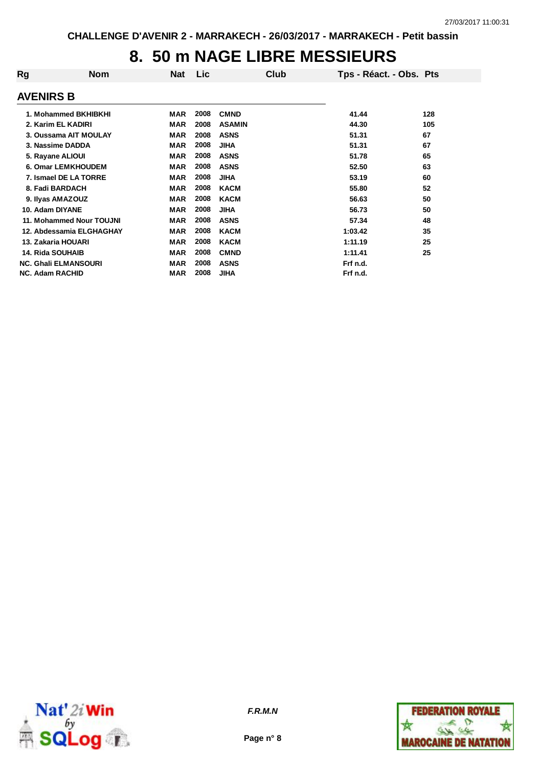### **8. 50 m NAGE LIBRE MESSIEURS**

| Rg               | <b>Nom</b>                  | Nat        | Lic  | Club          | Tps - Réact. - Obs. Pts |     |
|------------------|-----------------------------|------------|------|---------------|-------------------------|-----|
| <b>AVENIRS B</b> |                             |            |      |               |                         |     |
|                  | 1. Mohammed BKHIBKHI        | MAR        | 2008 | <b>CMND</b>   | 41.44                   | 128 |
|                  | 2. Karim EL KADIRI          | <b>MAR</b> | 2008 | <b>ASAMIN</b> | 44.30                   | 105 |
|                  | 3. Oussama AIT MOULAY       | <b>MAR</b> | 2008 | <b>ASNS</b>   | 51.31                   | 67  |
|                  | 3. Nassime DADDA            | <b>MAR</b> | 2008 | <b>JIHA</b>   | 51.31                   | 67  |
|                  | 5. Rayane ALIOUI            | <b>MAR</b> | 2008 | <b>ASNS</b>   | 51.78                   | 65  |
|                  | 6. Omar LEMKHOUDEM          | <b>MAR</b> | 2008 | <b>ASNS</b>   | 52.50                   | 63  |
|                  | 7. Ismael DE LA TORRE       | <b>MAR</b> | 2008 | <b>JIHA</b>   | 53.19                   | 60  |
|                  | 8. Fadi BARDACH             | <b>MAR</b> | 2008 | <b>KACM</b>   | 55.80                   | 52  |
|                  | 9. Ilyas AMAZOUZ            | MAR        | 2008 | <b>KACM</b>   | 56.63                   | 50  |
|                  | 10. Adam DIYANE             | <b>MAR</b> | 2008 | <b>JIHA</b>   | 56.73                   | 50  |
|                  | 11. Mohammed Nour TOUJNI    | <b>MAR</b> | 2008 | <b>ASNS</b>   | 57.34                   | 48  |
|                  | 12. Abdessamia ELGHAGHAY    | <b>MAR</b> | 2008 | <b>KACM</b>   | 1:03.42                 | 35  |
|                  | 13. Zakaria HOUARI          | <b>MAR</b> | 2008 | <b>KACM</b>   | 1:11.19                 | 25  |
|                  | <b>14. Rida SOUHAIB</b>     | <b>MAR</b> | 2008 | <b>CMND</b>   | 1:11.41                 | 25  |
|                  | <b>NC. Ghali ELMANSOURI</b> | <b>MAR</b> | 2008 | <b>ASNS</b>   | Frf n.d.                |     |
|                  | <b>NC. Adam RACHID</b>      | <b>MAR</b> | 2008 | <b>JIHA</b>   | Frf n.d.                |     |



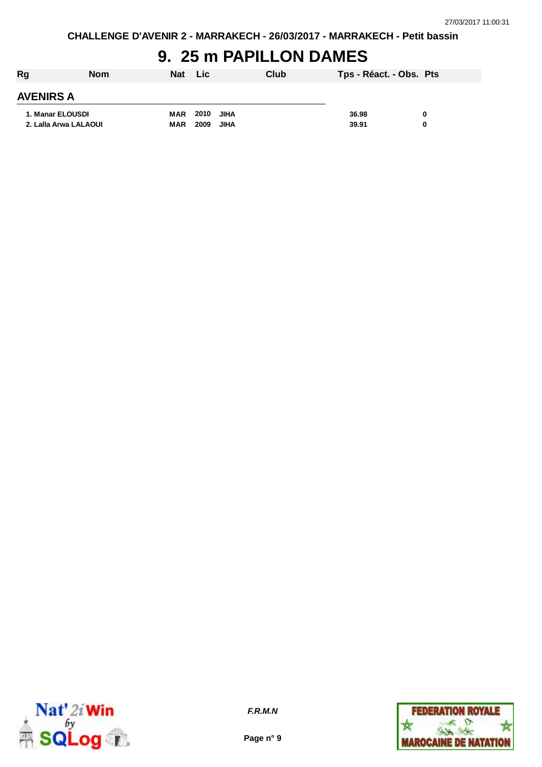# **9. 25 m PAPILLON DAMES**

| Rg                    | <b>Nom</b> | <b>Nat</b> | Lic  |      | Club | Tps - Réact. - Obs. Pts |   |
|-----------------------|------------|------------|------|------|------|-------------------------|---|
| <b>AVENIRS A</b>      |            |            |      |      |      |                         |   |
| 1. Manar ELOUSDI      |            | MAR        | 2010 | JIHA |      | 36.98                   | 0 |
| 2. Lalla Arwa LALAOUI |            | <b>MAR</b> | 2009 | JIHA |      | 39.91                   | 0 |



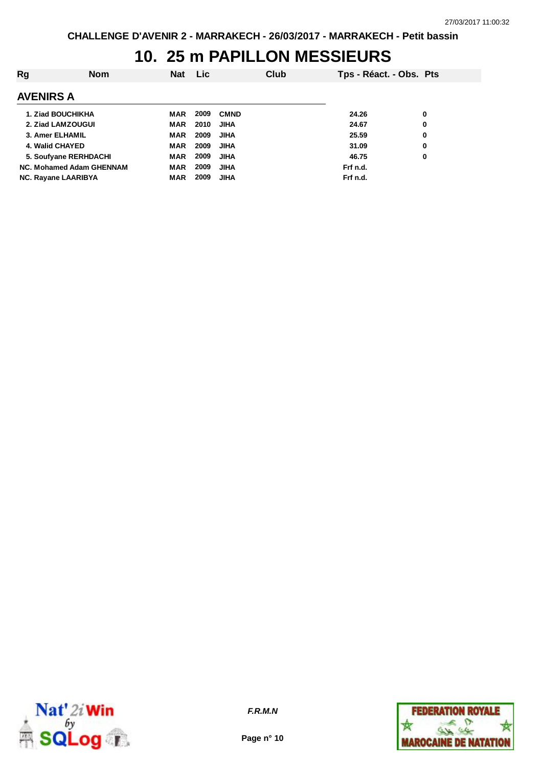# **10. 25 m PAPILLON MESSIEURS**

| Rg                         | <b>Nom</b> | <b>Nat</b> | Lic. |             | Club | Tps - Réact. - Obs. Pts |   |
|----------------------------|------------|------------|------|-------------|------|-------------------------|---|
| <b>AVENIRS A</b>           |            |            |      |             |      |                         |   |
| 1. Ziad BOUCHIKHA          |            | MAR        | 2009 | <b>CMND</b> |      | 24.26                   | 0 |
| 2. Ziad LAMZOUGUI          |            | <b>MAR</b> | 2010 | <b>JIHA</b> |      | 24.67                   | 0 |
| 3. Amer ELHAMIL            |            | <b>MAR</b> | 2009 | <b>JIHA</b> |      | 25.59                   | 0 |
| 4. Walid CHAYED            |            | <b>MAR</b> | 2009 | <b>JIHA</b> |      | 31.09                   | 0 |
| 5. Soufyane RERHDACHI      |            | <b>MAR</b> | 2009 | <b>JIHA</b> |      | 46.75                   | 0 |
| NC. Mohamed Adam GHENNAM   |            | <b>MAR</b> | 2009 | <b>JIHA</b> |      | Frf n.d.                |   |
| <b>NC. Rayane LAARIBYA</b> |            | <b>MAR</b> | 2009 | <b>JIHA</b> |      | Frf n.d.                |   |



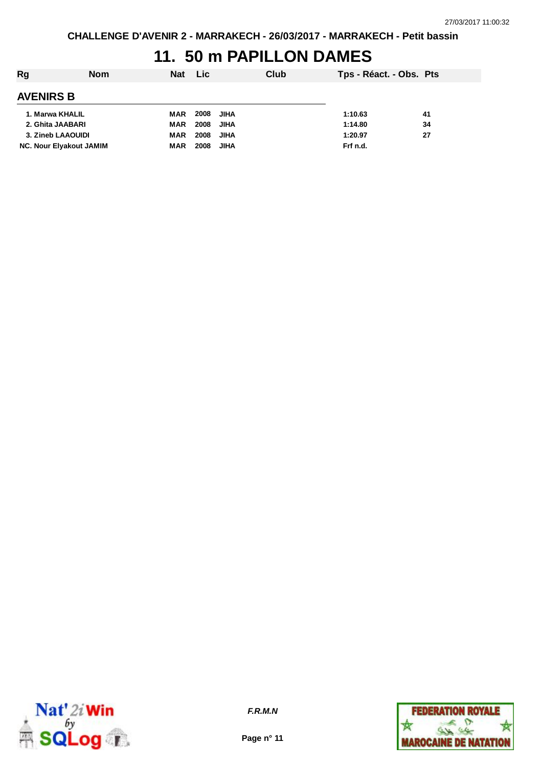#### **11. 50 m PAPILLON DAMES**

| Rg                             | <b>Nom</b> | Nat Lic    |      |             | Club | Tps - Réact. - Obs. Pts |    |
|--------------------------------|------------|------------|------|-------------|------|-------------------------|----|
| <b>AVENIRS B</b>               |            |            |      |             |      |                         |    |
| 1. Marwa KHALIL                |            | MAR        | 2008 | <b>JIHA</b> |      | 1:10.63                 | 41 |
| 2. Ghita JAABARI               |            | MAR        | 2008 | <b>JIHA</b> |      | 1:14.80                 | 34 |
| 3. Zineb LAAOUIDI              |            | MAR        | 2008 | <b>JIHA</b> |      | 1:20.97                 | 27 |
| <b>NC. Nour Elyakout JAMIM</b> |            | <b>MAR</b> | 2008 | <b>JIHA</b> |      | Frf n.d.                |    |



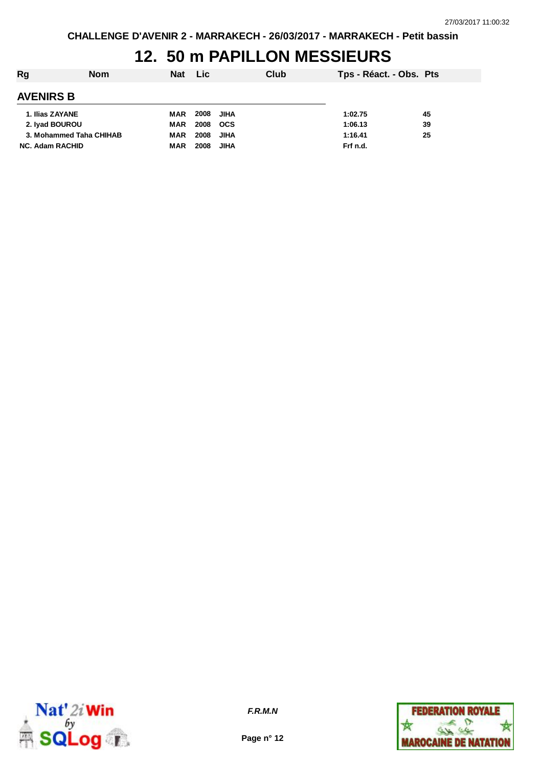# **12. 50 m PAPILLON MESSIEURS**

| Rg                      | <b>Nom</b> | <b>Nat</b> | Lic. |            | Club | Tps - Réact. - Obs. Pts |    |
|-------------------------|------------|------------|------|------------|------|-------------------------|----|
| <b>AVENIRS B</b>        |            |            |      |            |      |                         |    |
| 1. Ilias ZAYANE         |            | MAR        | 2008 | JIHA       |      | 1:02.75                 | 45 |
| 2. Ivad BOUROU          |            | MAR        | 2008 | <b>OCS</b> |      | 1:06.13                 | 39 |
| 3. Mohammed Taha CHIHAB |            | MAR        | 2008 | JIHA       |      | 1:16.41                 | 25 |
| <b>NC. Adam RACHID</b>  |            | MAR        | 2008 | JIHA       |      | Frf n.d.                |    |



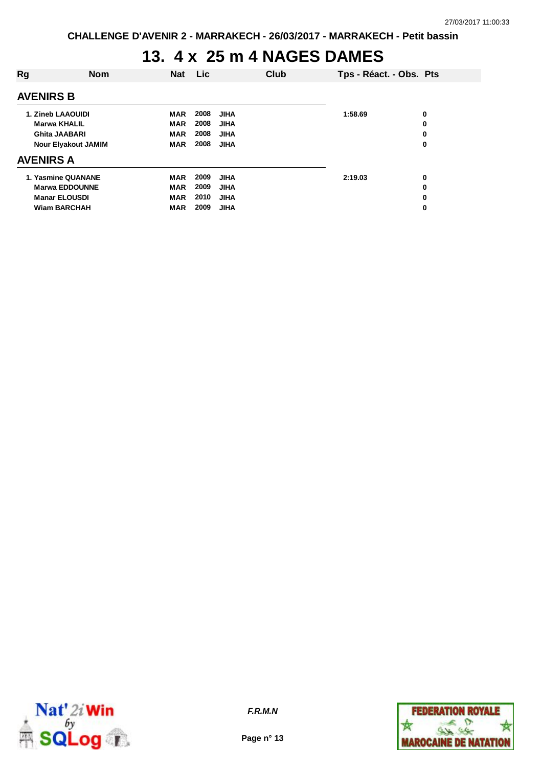## **13. 4 x 25 m 4 NAGES DAMES**

| Rg                         | <b>Nom</b>            | <b>Nat</b> | Lic  |             | Club | Tps - Réact. - Obs. Pts |   |
|----------------------------|-----------------------|------------|------|-------------|------|-------------------------|---|
| <b>AVENIRS B</b>           |                       |            |      |             |      |                         |   |
| 1. Zineb LAAOUIDI          |                       | <b>MAR</b> | 2008 | JIHA        |      | 1:58.69                 | 0 |
| <b>Marwa KHALIL</b>        |                       | <b>MAR</b> | 2008 | <b>JIHA</b> |      |                         | 0 |
| Ghita JAABARI              |                       | <b>MAR</b> | 2008 | <b>JIHA</b> |      |                         | 0 |
| <b>Nour Elyakout JAMIM</b> |                       | <b>MAR</b> | 2008 | <b>JIHA</b> |      |                         | 0 |
| <b>AVENIRS A</b>           |                       |            |      |             |      |                         |   |
|                            | 1. Yasmine QUANANE    | <b>MAR</b> | 2009 | <b>JIHA</b> |      | 2:19.03                 | 0 |
|                            | <b>Marwa EDDOUNNE</b> | <b>MAR</b> | 2009 | <b>JIHA</b> |      |                         | 0 |
|                            | <b>Manar ELOUSDI</b>  | <b>MAR</b> | 2010 | <b>JIHA</b> |      |                         | 0 |
|                            | <b>Wiam BARCHAH</b>   | <b>MAR</b> | 2009 | <b>JIHA</b> |      |                         | 0 |
|                            |                       |            |      |             |      |                         |   |